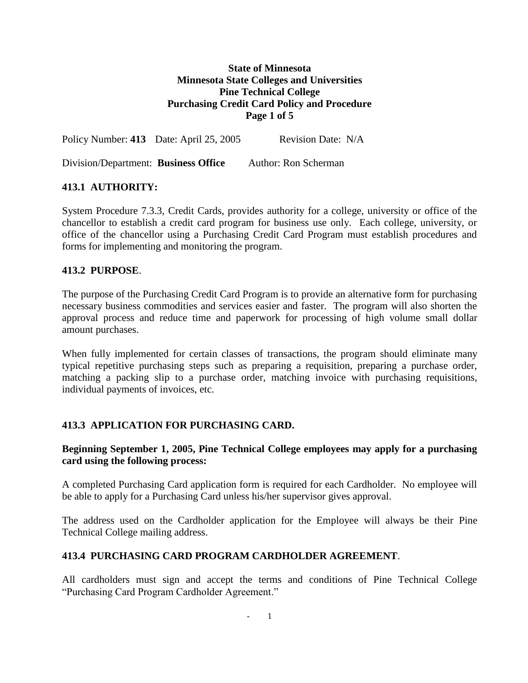## **State of Minnesota Minnesota State Colleges and Universities Pine Technical College Purchasing Credit Card Policy and Procedure Page 1 of 5**

Policy Number: 413 Date: April 25, 2005 Revision Date: N/A

Division/Department: **Business Office** Author: Ron Scherman

## **413.1 AUTHORITY:**

System Procedure 7.3.3, Credit Cards, provides authority for a college, university or office of the chancellor to establish a credit card program for business use only. Each college, university, or office of the chancellor using a Purchasing Credit Card Program must establish procedures and forms for implementing and monitoring the program.

#### **413.2 PURPOSE**.

The purpose of the Purchasing Credit Card Program is to provide an alternative form for purchasing necessary business commodities and services easier and faster. The program will also shorten the approval process and reduce time and paperwork for processing of high volume small dollar amount purchases.

When fully implemented for certain classes of transactions, the program should eliminate many typical repetitive purchasing steps such as preparing a requisition, preparing a purchase order, matching a packing slip to a purchase order, matching invoice with purchasing requisitions, individual payments of invoices, etc.

# **413.3 APPLICATION FOR PURCHASING CARD.**

## **Beginning September 1, 2005, Pine Technical College employees may apply for a purchasing card using the following process:**

A completed Purchasing Card application form is required for each Cardholder. No employee will be able to apply for a Purchasing Card unless his/her supervisor gives approval.

The address used on the Cardholder application for the Employee will always be their Pine Technical College mailing address.

#### **413.4 PURCHASING CARD PROGRAM CARDHOLDER AGREEMENT**.

All cardholders must sign and accept the terms and conditions of Pine Technical College "Purchasing Card Program Cardholder Agreement."

- 1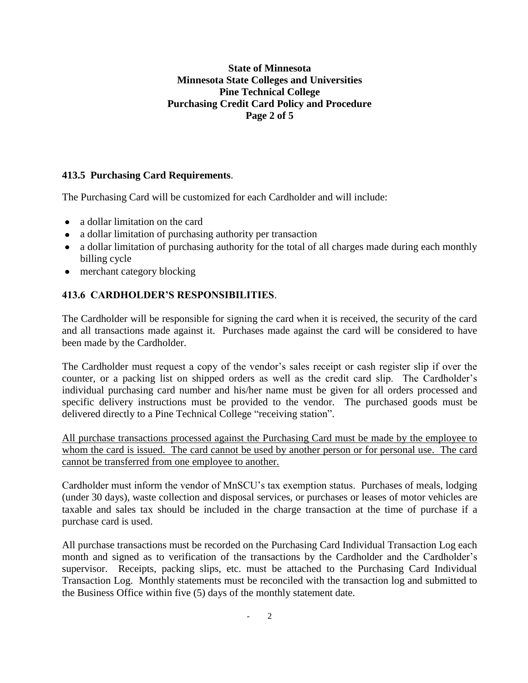## **State of Minnesota Minnesota State Colleges and Universities Pine Technical College Purchasing Credit Card Policy and Procedure Page 2 of 5**

# **413.5 Purchasing Card Requirements**.

The Purchasing Card will be customized for each Cardholder and will include:

- a dollar limitation on the card
- a dollar limitation of purchasing authority per transaction
- a dollar limitation of purchasing authority for the total of all charges made during each monthly billing cycle
- merchant category blocking

# **413.6 CARDHOLDER'S RESPONSIBILITIES**.

The Cardholder will be responsible for signing the card when it is received, the security of the card and all transactions made against it. Purchases made against the card will be considered to have been made by the Cardholder.

The Cardholder must request a copy of the vendor's sales receipt or cash register slip if over the counter, or a packing list on shipped orders as well as the credit card slip. The Cardholder's individual purchasing card number and his/her name must be given for all orders processed and specific delivery instructions must be provided to the vendor. The purchased goods must be delivered directly to a Pine Technical College "receiving station".

All purchase transactions processed against the Purchasing Card must be made by the employee to whom the card is issued. The card cannot be used by another person or for personal use. The card cannot be transferred from one employee to another.

Cardholder must inform the vendor of MnSCU's tax exemption status. Purchases of meals, lodging (under 30 days), waste collection and disposal services, or purchases or leases of motor vehicles are taxable and sales tax should be included in the charge transaction at the time of purchase if a purchase card is used.

All purchase transactions must be recorded on the Purchasing Card Individual Transaction Log each month and signed as to verification of the transactions by the Cardholder and the Cardholder's supervisor. Receipts, packing slips, etc. must be attached to the Purchasing Card Individual Transaction Log. Monthly statements must be reconciled with the transaction log and submitted to the Business Office within five (5) days of the monthly statement date.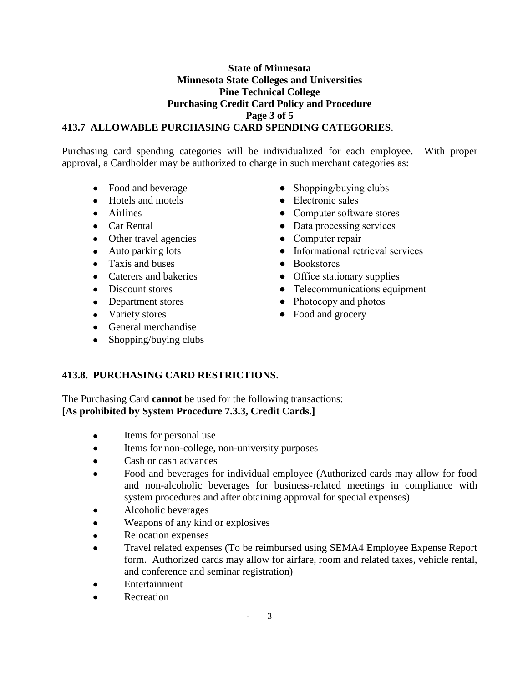#### **State of Minnesota Minnesota State Colleges and Universities Pine Technical College Purchasing Credit Card Policy and Procedure Page 3 of 5 413.7 ALLOWABLE PURCHASING CARD SPENDING CATEGORIES**.

Purchasing card spending categories will be individualized for each employee. With proper approval, a Cardholder may be authorized to charge in such merchant categories as:

- 
- Hotels and motels <br>• Electronic sales
- 
- 
- Other travel agencies Computer repair
- 
- Taxis and buses Bookstores
- 
- 
- 
- 
- General merchandise
- $\bullet$  Shopping/buying clubs
- Food and beverage <br>• Shopping/buying clubs
	-
- Airlines Computer software stores
- Car Rental Data processing services
	-
- Auto parking lots Informational retrieval services
	-
- Caterers and bakeries Office stationary supplies
- Discount stores Telecommunications equipment
- Department stores Photocopy and photos
- Variety stores Food and grocery

# **413.8. PURCHASING CARD RESTRICTIONS**.

The Purchasing Card **cannot** be used for the following transactions: **[As prohibited by System Procedure 7.3.3, Credit Cards.]**

- $\bullet$ Items for personal use
- Items for non-college, non-university purposes  $\bullet$
- Cash or cash advances  $\bullet$
- Food and beverages for individual employee (Authorized cards may allow for food and non-alcoholic beverages for business-related meetings in compliance with system procedures and after obtaining approval for special expenses)
- Alcoholic beverages
- Weapons of any kind or explosives  $\bullet$
- Relocation expenses
- Travel related expenses (To be reimbursed using SEMA4 Employee Expense Report form. Authorized cards may allow for airfare, room and related taxes, vehicle rental, and conference and seminar registration)
- Entertainment
- Recreation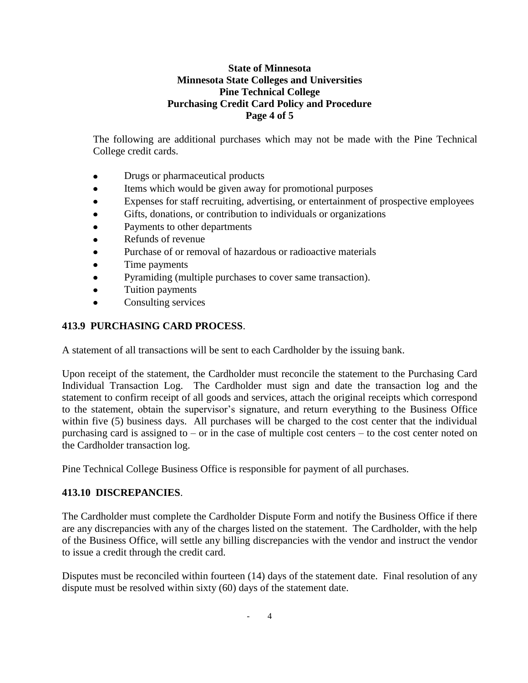## **State of Minnesota Minnesota State Colleges and Universities Pine Technical College Purchasing Credit Card Policy and Procedure Page 4 of 5**

The following are additional purchases which may not be made with the Pine Technical College credit cards.

- Drugs or pharmaceutical products
- Items which would be given away for promotional purposes  $\bullet$
- Expenses for staff recruiting, advertising, or entertainment of prospective employees
- Gifts, donations, or contribution to individuals or organizations
- Payments to other departments
- Refunds of revenue
- Purchase of or removal of hazardous or radioactive materials
- Time payments
- Pyramiding (multiple purchases to cover same transaction).  $\bullet$
- Tuition payments
- Consulting services  $\bullet$

# **413.9 PURCHASING CARD PROCESS**.

A statement of all transactions will be sent to each Cardholder by the issuing bank.

Upon receipt of the statement, the Cardholder must reconcile the statement to the Purchasing Card Individual Transaction Log. The Cardholder must sign and date the transaction log and the statement to confirm receipt of all goods and services, attach the original receipts which correspond to the statement, obtain the supervisor's signature, and return everything to the Business Office within five (5) business days. All purchases will be charged to the cost center that the individual purchasing card is assigned to – or in the case of multiple cost centers – to the cost center noted on the Cardholder transaction log.

Pine Technical College Business Office is responsible for payment of all purchases.

# **413.10 DISCREPANCIES**.

The Cardholder must complete the Cardholder Dispute Form and notify the Business Office if there are any discrepancies with any of the charges listed on the statement. The Cardholder, with the help of the Business Office, will settle any billing discrepancies with the vendor and instruct the vendor to issue a credit through the credit card.

Disputes must be reconciled within fourteen (14) days of the statement date. Final resolution of any dispute must be resolved within sixty (60) days of the statement date.

- 4